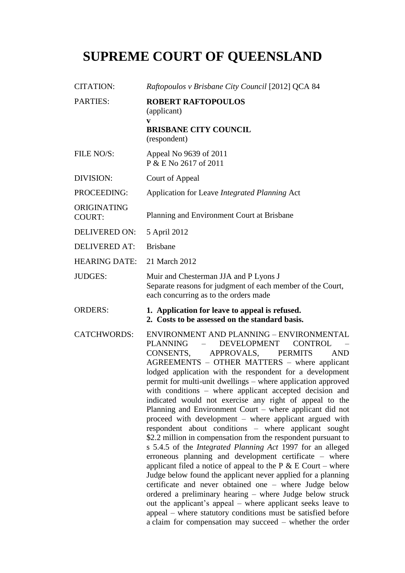## **SUPREME COURT OF QUEENSLAND**

| <b>CITATION:</b>             | Raftopoulos v Brisbane City Council [2012] QCA 84                                                                                                                                                                                                                                                                                                                                                                                                                                                                                                                                                                                                                                                                                                                                                                                                                                                                                                                                                                                                                                                                                                                                                                                                                                                  |
|------------------------------|----------------------------------------------------------------------------------------------------------------------------------------------------------------------------------------------------------------------------------------------------------------------------------------------------------------------------------------------------------------------------------------------------------------------------------------------------------------------------------------------------------------------------------------------------------------------------------------------------------------------------------------------------------------------------------------------------------------------------------------------------------------------------------------------------------------------------------------------------------------------------------------------------------------------------------------------------------------------------------------------------------------------------------------------------------------------------------------------------------------------------------------------------------------------------------------------------------------------------------------------------------------------------------------------------|
| <b>PARTIES:</b>              | <b>ROBERT RAFTOPOULOS</b><br>(applicant)<br>V<br><b>BRISBANE CITY COUNCIL</b><br>(respondent)                                                                                                                                                                                                                                                                                                                                                                                                                                                                                                                                                                                                                                                                                                                                                                                                                                                                                                                                                                                                                                                                                                                                                                                                      |
| FILE NO/S:                   | Appeal No 9639 of 2011<br>P & E No 2617 of 2011                                                                                                                                                                                                                                                                                                                                                                                                                                                                                                                                                                                                                                                                                                                                                                                                                                                                                                                                                                                                                                                                                                                                                                                                                                                    |
| DIVISION:                    | Court of Appeal                                                                                                                                                                                                                                                                                                                                                                                                                                                                                                                                                                                                                                                                                                                                                                                                                                                                                                                                                                                                                                                                                                                                                                                                                                                                                    |
| PROCEEDING:                  | Application for Leave Integrated Planning Act                                                                                                                                                                                                                                                                                                                                                                                                                                                                                                                                                                                                                                                                                                                                                                                                                                                                                                                                                                                                                                                                                                                                                                                                                                                      |
| ORIGINATING<br><b>COURT:</b> | Planning and Environment Court at Brisbane                                                                                                                                                                                                                                                                                                                                                                                                                                                                                                                                                                                                                                                                                                                                                                                                                                                                                                                                                                                                                                                                                                                                                                                                                                                         |
| <b>DELIVERED ON:</b>         | 5 April 2012                                                                                                                                                                                                                                                                                                                                                                                                                                                                                                                                                                                                                                                                                                                                                                                                                                                                                                                                                                                                                                                                                                                                                                                                                                                                                       |
| <b>DELIVERED AT:</b>         | <b>Brisbane</b>                                                                                                                                                                                                                                                                                                                                                                                                                                                                                                                                                                                                                                                                                                                                                                                                                                                                                                                                                                                                                                                                                                                                                                                                                                                                                    |
| <b>HEARING DATE:</b>         | 21 March 2012                                                                                                                                                                                                                                                                                                                                                                                                                                                                                                                                                                                                                                                                                                                                                                                                                                                                                                                                                                                                                                                                                                                                                                                                                                                                                      |
| <b>JUDGES:</b>               | Muir and Chesterman JJA and P Lyons J<br>Separate reasons for judgment of each member of the Court,<br>each concurring as to the orders made                                                                                                                                                                                                                                                                                                                                                                                                                                                                                                                                                                                                                                                                                                                                                                                                                                                                                                                                                                                                                                                                                                                                                       |
| <b>ORDERS:</b>               | 1. Application for leave to appeal is refused.<br>2. Costs to be assessed on the standard basis.                                                                                                                                                                                                                                                                                                                                                                                                                                                                                                                                                                                                                                                                                                                                                                                                                                                                                                                                                                                                                                                                                                                                                                                                   |
| <b>CATCHWORDS:</b>           | ENVIRONMENT AND PLANNING - ENVIRONMENTAL<br><b>PLANNING</b><br><b>DEVELOPMENT</b><br><b>CONTROL</b><br>APPROVALS,<br><b>PERMITS</b><br><b>AND</b><br>CONSENTS,<br>AGREEMENTS - OTHER MATTERS - where applicant<br>lodged application with the respondent for a development<br>permit for multi-unit dwellings – where application approved<br>with conditions – where applicant accepted decision and<br>indicated would not exercise any right of appeal to the<br>Planning and Environment Court – where applicant did not<br>proceed with development - where applicant argued with<br>respondent about conditions - where applicant sought<br>\$2.2 million in compensation from the respondent pursuant to<br>s 5.4.5 of the Integrated Planning Act 1997 for an alleged<br>erroneous planning and development certificate – where<br>applicant filed a notice of appeal to the P $& \text{E}$ Court – where<br>Judge below found the applicant never applied for a planning<br>certificate and never obtained one - where Judge below<br>ordered a preliminary hearing – where Judge below struck<br>out the applicant's appeal – where applicant seeks leave to<br>appeal – where statutory conditions must be satisfied before<br>a claim for compensation may succeed – whether the order |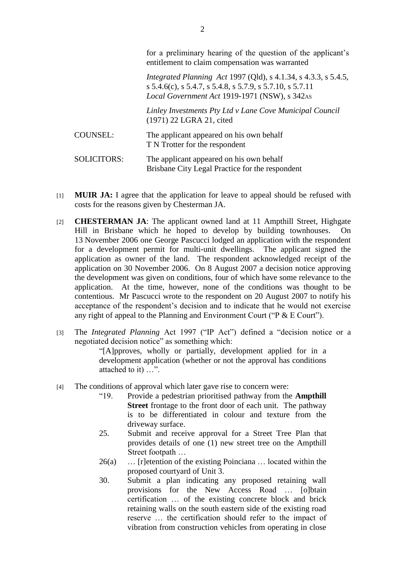|                    | Tor a premimary nearing or the question or the applicant s<br>entitlement to claim compensation was warranted                                                                                    |
|--------------------|--------------------------------------------------------------------------------------------------------------------------------------------------------------------------------------------------|
|                    | <i>Integrated Planning Act 1997 (Qld), s 4.1.34, s 4.3.3, s 5.4.5,</i><br>$s$ 5.4.6(c), $s$ 5.4.7, $s$ 5.4.8, $s$ 5.7.9, $s$ 5.7.10, $s$ 5.7.11<br>Local Government Act 1919-1971 (NSW), s 342AS |
|                    | Linley Investments Pty Ltd v Lane Cove Municipal Council<br>(1971) 22 LGRA 21, cited                                                                                                             |
| <b>COUNSEL:</b>    | The applicant appeared on his own behalf<br>T N Trotter for the respondent                                                                                                                       |
| <b>SOLICITORS:</b> | The applicant appeared on his own behalf<br>Brisbane City Legal Practice for the respondent                                                                                                      |

- [1] **MUIR JA:** I agree that the application for leave to appeal should be refused with costs for the reasons given by Chesterman JA.
- [2] **CHESTERMAN JA**: The applicant owned land at 11 Ampthill Street, Highgate Hill in Brisbane which he hoped to develop by building townhouses. On 13 November 2006 one George Pascucci lodged an application with the respondent for a development permit for multi-unit dwellings. The applicant signed the application as owner of the land. The respondent acknowledged receipt of the application on 30 November 2006. On 8 August 2007 a decision notice approving the development was given on conditions, four of which have some relevance to the application. At the time, however, none of the conditions was thought to be contentious. Mr Pascucci wrote to the respondent on 20 August 2007 to notify his acceptance of the respondent's decision and to indicate that he would not exercise any right of appeal to the Planning and Environment Court ("P & E Court").
- [3] The *Integrated Planning* Act 1997 ("IP Act") defined a "decision notice or a negotiated decision notice" as something which:

"[A]pproves, wholly or partially, development applied for in a development application (whether or not the approval has conditions attached to it) …".

- [4] The conditions of approval which later gave rise to concern were:
	- "19. Provide a pedestrian prioritised pathway from the **Ampthill Street** frontage to the front door of each unit. The pathway is to be differentiated in colour and texture from the driveway surface.
	- 25. Submit and receive approval for a Street Tree Plan that provides details of one (1) new street tree on the Ampthill Street footpath …
	- 26(a) … [r]etention of the existing Poinciana … located within the proposed courtyard of Unit 3.
	- 30. Submit a plan indicating any proposed retaining wall provisions for the New Access Road … [o]btain certification … of the existing concrete block and brick retaining walls on the south eastern side of the existing road reserve … the certification should refer to the impact of vibration from construction vehicles from operating in close

for a preliminary hearing of the question of the applicant's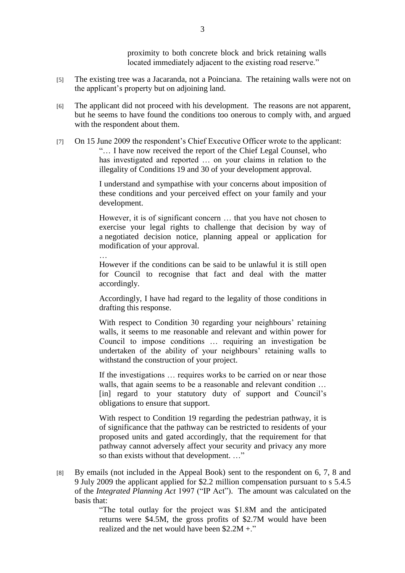proximity to both concrete block and brick retaining walls located immediately adjacent to the existing road reserve."

- [5] The existing tree was a Jacaranda, not a Poinciana. The retaining walls were not on the applicant's property but on adjoining land.
- [6] The applicant did not proceed with his development. The reasons are not apparent, but he seems to have found the conditions too onerous to comply with, and argued with the respondent about them.
- [7] On 15 June 2009 the respondent's Chief Executive Officer wrote to the applicant: "… I have now received the report of the Chief Legal Counsel, who has investigated and reported … on your claims in relation to the illegality of Conditions 19 and 30 of your development approval.

I understand and sympathise with your concerns about imposition of these conditions and your perceived effect on your family and your development.

However, it is of significant concern … that you have not chosen to exercise your legal rights to challenge that decision by way of a negotiated decision notice, planning appeal or application for modification of your approval.

However if the conditions can be said to be unlawful it is still open for Council to recognise that fact and deal with the matter accordingly.

…

Accordingly, I have had regard to the legality of those conditions in drafting this response.

With respect to Condition 30 regarding your neighbours' retaining walls, it seems to me reasonable and relevant and within power for Council to impose conditions … requiring an investigation be undertaken of the ability of your neighbours' retaining walls to withstand the construction of your project.

If the investigations … requires works to be carried on or near those walls, that again seems to be a reasonable and relevant condition ... [in] regard to your statutory duty of support and Council's obligations to ensure that support.

With respect to Condition 19 regarding the pedestrian pathway, it is of significance that the pathway can be restricted to residents of your proposed units and gated accordingly, that the requirement for that pathway cannot adversely affect your security and privacy any more so than exists without that development. …"

[8] By emails (not included in the Appeal Book) sent to the respondent on 6, 7, 8 and 9 July 2009 the applicant applied for \$2.2 million compensation pursuant to s 5.4.5 of the *Integrated Planning Act* 1997 ("IP Act"). The amount was calculated on the basis that:

> "The total outlay for the project was \$1.8M and the anticipated returns were \$4.5M, the gross profits of \$2.7M would have been realized and the net would have been \$2.2M +."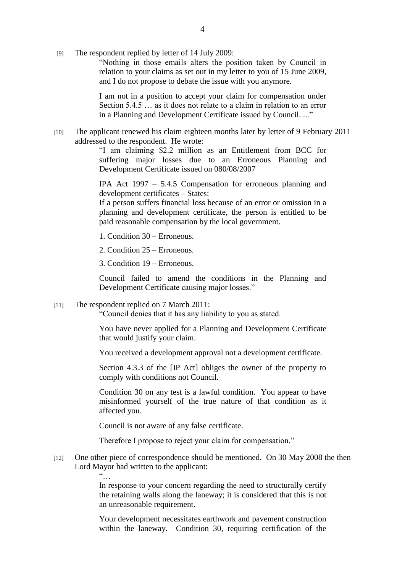[9] The respondent replied by letter of 14 July 2009:

"Nothing in those emails alters the position taken by Council in relation to your claims as set out in my letter to you of 15 June 2009, and I do not propose to debate the issue with you anymore.

I am not in a position to accept your claim for compensation under Section 5.4.5 … as it does not relate to a claim in relation to an error in a Planning and Development Certificate issued by Council. ..."

[10] The applicant renewed his claim eighteen months later by letter of 9 February 2011 addressed to the respondent. He wrote:

> "I am claiming \$2.2 million as an Entitlement from BCC for suffering major losses due to an Erroneous Planning and Development Certificate issued on 080/08/2007

> IPA Act 1997 – 5.4.5 Compensation for erroneous planning and development certificates – States:

> If a person suffers financial loss because of an error or omission in a planning and development certificate, the person is entitled to be paid reasonable compensation by the local government.

- 1. Condition 30 Erroneous.
- 2. Condition 25 Erroneous.

3. Condition 19 – Erroneous.

Council failed to amend the conditions in the Planning and Development Certificate causing major losses."

[11] The respondent replied on 7 March 2011:

"Council denies that it has any liability to you as stated.

You have never applied for a Planning and Development Certificate that would justify your claim.

You received a development approval not a development certificate.

Section 4.3.3 of the [IP Act] obliges the owner of the property to comply with conditions not Council.

Condition 30 on any test is a lawful condition. You appear to have misinformed yourself of the true nature of that condition as it affected you.

Council is not aware of any false certificate.

Therefore I propose to reject your claim for compensation."

[12] One other piece of correspondence should be mentioned. On 30 May 2008 the then Lord Mayor had written to the applicant:

 $\frac{1}{2}$ 

In response to your concern regarding the need to structurally certify the retaining walls along the laneway; it is considered that this is not an unreasonable requirement.

Your development necessitates earthwork and pavement construction within the laneway. Condition 30, requiring certification of the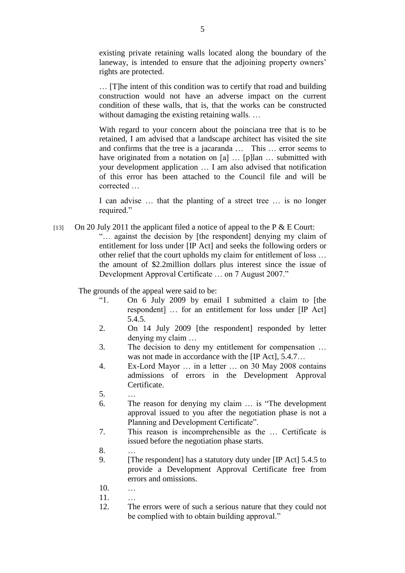existing private retaining walls located along the boundary of the laneway, is intended to ensure that the adjoining property owners' rights are protected.

… [T]he intent of this condition was to certify that road and building construction would not have an adverse impact on the current condition of these walls, that is, that the works can be constructed without damaging the existing retaining walls. ...

With regard to your concern about the poinciana tree that is to be retained, I am advised that a landscape architect has visited the site and confirms that the tree is a jacaranda … This … error seems to have originated from a notation on [a] ... [p]lan ... submitted with your development application … I am also advised that notification of this error has been attached to the Council file and will be corrected …

I can advise … that the planting of a street tree … is no longer required."

[13] On 20 July 2011 the applicant filed a notice of appeal to the P  $& E$  Court:

"… against the decision by [the respondent] denying my claim of entitlement for loss under [IP Act] and seeks the following orders or other relief that the court upholds my claim for entitlement of loss … the amount of \$2.2million dollars plus interest since the issue of Development Approval Certificate … on 7 August 2007."

The grounds of the appeal were said to be:

- "1. On 6 July 2009 by email I submitted a claim to [the respondent] … for an entitlement for loss under [IP Act] 5.4.5.
- 2. On 14 July 2009 [the respondent] responded by letter denying my claim …
- 3. The decision to deny my entitlement for compensation … was not made in accordance with the [IP Act], 5.4.7…
- 4. Ex-Lord Mayor … in a letter … on 30 May 2008 contains admissions of errors in the Development Approval Certificate.
- 5. …
- 6. The reason for denying my claim … is "The development approval issued to you after the negotiation phase is not a Planning and Development Certificate".
- 7. This reason is incomprehensible as the … Certificate is issued before the negotiation phase starts.
- 8. …
- 9. [The respondent] has a statutory duty under [IP Act] 5.4.5 to provide a Development Approval Certificate free from errors and omissions.
- 10. …
- 11. …
- 12. The errors were of such a serious nature that they could not be complied with to obtain building approval."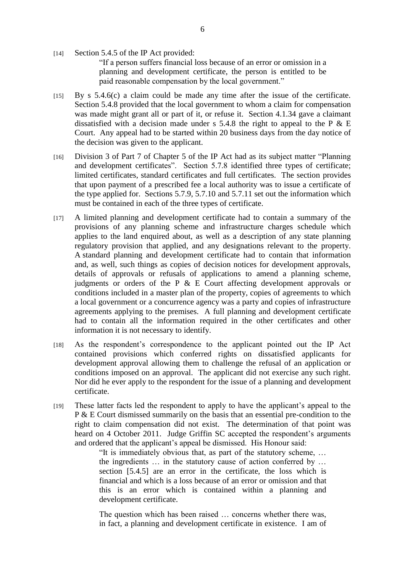- [14] Section 5.4.5 of the IP Act provided: "If a person suffers financial loss because of an error or omission in a planning and development certificate, the person is entitled to be paid reasonable compensation by the local government."
- [15] By s 5.4.6(c) a claim could be made any time after the issue of the certificate. Section 5.4.8 provided that the local government to whom a claim for compensation was made might grant all or part of it, or refuse it. Section 4.1.34 gave a claimant dissatisfied with a decision made under s  $5.4.8$  the right to appeal to the P & E Court. Any appeal had to be started within 20 business days from the day notice of the decision was given to the applicant.
- [16] Division 3 of Part 7 of Chapter 5 of the IP Act had as its subject matter "Planning and development certificates". Section 5.7.8 identified three types of certificate; limited certificates, standard certificates and full certificates. The section provides that upon payment of a prescribed fee a local authority was to issue a certificate of the type applied for. Sections 5.7.9, 5.7.10 and 5.7.11 set out the information which must be contained in each of the three types of certificate.
- [17] A limited planning and development certificate had to contain a summary of the provisions of any planning scheme and infrastructure charges schedule which applies to the land enquired about, as well as a description of any state planning regulatory provision that applied, and any designations relevant to the property. A standard planning and development certificate had to contain that information and, as well, such things as copies of decision notices for development approvals, details of approvals or refusals of applications to amend a planning scheme, judgments or orders of the P & E Court affecting development approvals or conditions included in a master plan of the property, copies of agreements to which a local government or a concurrence agency was a party and copies of infrastructure agreements applying to the premises. A full planning and development certificate had to contain all the information required in the other certificates and other information it is not necessary to identify.
- [18] As the respondent's correspondence to the applicant pointed out the IP Act contained provisions which conferred rights on dissatisfied applicants for development approval allowing them to challenge the refusal of an application or conditions imposed on an approval. The applicant did not exercise any such right. Nor did he ever apply to the respondent for the issue of a planning and development certificate.
- [19] These latter facts led the respondent to apply to have the applicant's appeal to the P & E Court dismissed summarily on the basis that an essential pre-condition to the right to claim compensation did not exist. The determination of that point was heard on 4 October 2011. Judge Griffin SC accepted the respondent's arguments and ordered that the applicant's appeal be dismissed. His Honour said:

"It is immediately obvious that, as part of the statutory scheme, … the ingredients … in the statutory cause of action conferred by … section [5.4.5] are an error in the certificate, the loss which is financial and which is a loss because of an error or omission and that this is an error which is contained within a planning and development certificate.

The question which has been raised … concerns whether there was, in fact, a planning and development certificate in existence. I am of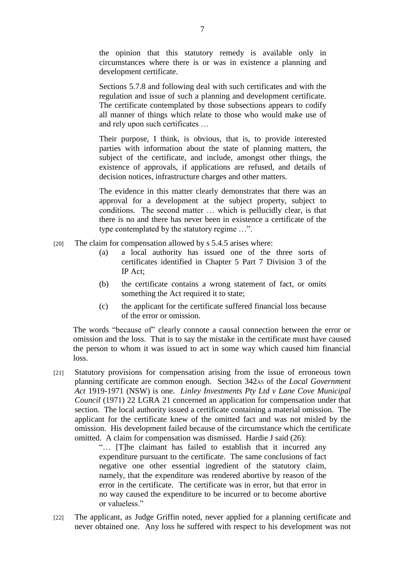the opinion that this statutory remedy is available only in circumstances where there is or was in existence a planning and development certificate.

Sections 5.7.8 and following deal with such certificates and with the regulation and issue of such a planning and development certificate. The certificate contemplated by those subsections appears to codify all manner of things which relate to those who would make use of and rely upon such certificates …

Their purpose, I think, is obvious, that is, to provide interested parties with information about the state of planning matters, the subject of the certificate, and include, amongst other things, the existence of approvals, if applications are refused, and details of decision notices, infrastructure charges and other matters.

The evidence in this matter clearly demonstrates that there was an approval for a development at the subject property, subject to conditions. The second matter … which is pellucidly clear, is that there is no and there has never been in existence a certificate of the type contemplated by the statutory regime …".

- [20] The claim for compensation allowed by s 5.4.5 arises where:
	- (a) a local authority has issued one of the three sorts of certificates identified in Chapter 5 Part 7 Division 3 of the IP Act;
	- (b) the certificate contains a wrong statement of fact, or omits something the Act required it to state;
	- (c) the applicant for the certificate suffered financial loss because of the error or omission.

The words "because of" clearly connote a causal connection between the error or omission and the loss. That is to say the mistake in the certificate must have caused the person to whom it was issued to act in some way which caused him financial loss.

[21] Statutory provisions for compensation arising from the issue of erroneous town planning certificate are common enough. Section 342AS of the *Local Government Act* 1919-1971 (NSW) is one. *Linley Investments Pty Ltd v Lane Cove Municipal Council* (1971) 22 LGRA 21 concerned an application for compensation under that section. The local authority issued a certificate containing a material omission. The applicant for the certificate knew of the omitted fact and was not misled by the omission. His development failed because of the circumstance which the certificate omitted. A claim for compensation was dismissed. Hardie J said (26):

> "… [T]he claimant has failed to establish that it incurred any expenditure pursuant to the certificate. The same conclusions of fact negative one other essential ingredient of the statutory claim, namely, that the expenditure was rendered abortive by reason of the error in the certificate. The certificate was in error, but that error in no way caused the expenditure to be incurred or to become abortive or valueless."

[22] The applicant, as Judge Griffin noted, never applied for a planning certificate and never obtained one. Any loss he suffered with respect to his development was not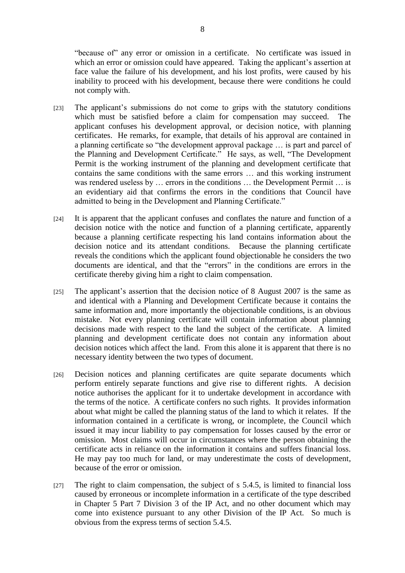"because of" any error or omission in a certificate. No certificate was issued in which an error or omission could have appeared. Taking the applicant's assertion at face value the failure of his development, and his lost profits, were caused by his inability to proceed with his development, because there were conditions he could not comply with.

- [23] The applicant's submissions do not come to grips with the statutory conditions which must be satisfied before a claim for compensation may succeed. applicant confuses his development approval, or decision notice, with planning certificates. He remarks, for example, that details of his approval are contained in a planning certificate so "the development approval package … is part and parcel of the Planning and Development Certificate." He says, as well, "The Development Permit is the working instrument of the planning and development certificate that contains the same conditions with the same errors … and this working instrument was rendered useless by ... errors in the conditions ... the Development Permit ... is an evidentiary aid that confirms the errors in the conditions that Council have admitted to being in the Development and Planning Certificate."
- [24] It is apparent that the applicant confuses and conflates the nature and function of a decision notice with the notice and function of a planning certificate, apparently because a planning certificate respecting his land contains information about the decision notice and its attendant conditions. Because the planning certificate reveals the conditions which the applicant found objectionable he considers the two documents are identical, and that the "errors" in the conditions are errors in the certificate thereby giving him a right to claim compensation.
- [25] The applicant's assertion that the decision notice of 8 August 2007 is the same as and identical with a Planning and Development Certificate because it contains the same information and, more importantly the objectionable conditions, is an obvious mistake. Not every planning certificate will contain information about planning decisions made with respect to the land the subject of the certificate. A limited planning and development certificate does not contain any information about decision notices which affect the land. From this alone it is apparent that there is no necessary identity between the two types of document.
- [26] Decision notices and planning certificates are quite separate documents which perform entirely separate functions and give rise to different rights. A decision notice authorises the applicant for it to undertake development in accordance with the terms of the notice. A certificate confers no such rights. It provides information about what might be called the planning status of the land to which it relates. If the information contained in a certificate is wrong, or incomplete, the Council which issued it may incur liability to pay compensation for losses caused by the error or omission. Most claims will occur in circumstances where the person obtaining the certificate acts in reliance on the information it contains and suffers financial loss. He may pay too much for land, or may underestimate the costs of development, because of the error or omission.
- [27] The right to claim compensation, the subject of s 5.4.5, is limited to financial loss caused by erroneous or incomplete information in a certificate of the type described in Chapter 5 Part 7 Division 3 of the IP Act, and no other document which may come into existence pursuant to any other Division of the IP Act. So much is obvious from the express terms of section 5.4.5.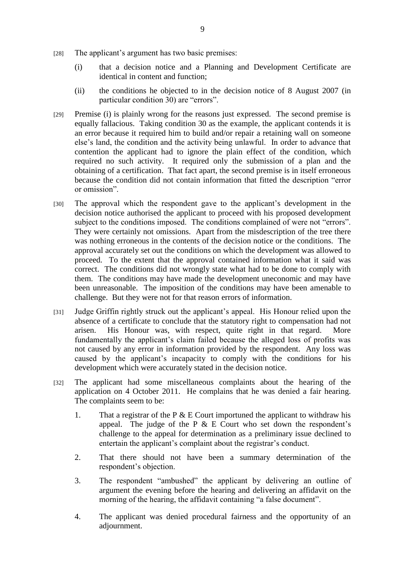- [28] The applicant's argument has two basic premises:
	- (i) that a decision notice and a Planning and Development Certificate are identical in content and function;
	- (ii) the conditions he objected to in the decision notice of 8 August 2007 (in particular condition 30) are "errors".
- [29] Premise (i) is plainly wrong for the reasons just expressed. The second premise is equally fallacious. Taking condition 30 as the example, the applicant contends it is an error because it required him to build and/or repair a retaining wall on someone else's land, the condition and the activity being unlawful. In order to advance that contention the applicant had to ignore the plain effect of the condition, which required no such activity. It required only the submission of a plan and the obtaining of a certification. That fact apart, the second premise is in itself erroneous because the condition did not contain information that fitted the description "error or omission".
- [30] The approval which the respondent gave to the applicant's development in the decision notice authorised the applicant to proceed with his proposed development subject to the conditions imposed. The conditions complained of were not "errors". They were certainly not omissions. Apart from the misdescription of the tree there was nothing erroneous in the contents of the decision notice or the conditions. The approval accurately set out the conditions on which the development was allowed to proceed. To the extent that the approval contained information what it said was correct. The conditions did not wrongly state what had to be done to comply with them. The conditions may have made the development uneconomic and may have been unreasonable. The imposition of the conditions may have been amenable to challenge. But they were not for that reason errors of information.
- [31] Judge Griffin rightly struck out the applicant's appeal. His Honour relied upon the absence of a certificate to conclude that the statutory right to compensation had not arisen. His Honour was, with respect, quite right in that regard. More fundamentally the applicant's claim failed because the alleged loss of profits was not caused by any error in information provided by the respondent. Any loss was caused by the applicant's incapacity to comply with the conditions for his development which were accurately stated in the decision notice.
- [32] The applicant had some miscellaneous complaints about the hearing of the application on 4 October 2011. He complains that he was denied a fair hearing. The complaints seem to be:
	- 1. That a registrar of the P  $& E$  Court importuned the applicant to withdraw his appeal. The judge of the P  $& E$  Court who set down the respondent's challenge to the appeal for determination as a preliminary issue declined to entertain the applicant's complaint about the registrar's conduct.
	- 2. That there should not have been a summary determination of the respondent's objection.
	- 3. The respondent "ambushed" the applicant by delivering an outline of argument the evening before the hearing and delivering an affidavit on the morning of the hearing, the affidavit containing "a false document".
	- 4. The applicant was denied procedural fairness and the opportunity of an adjournment.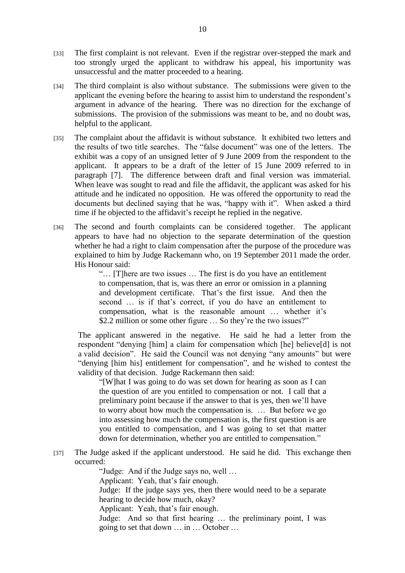- [33] The first complaint is not relevant. Even if the registrar over-stepped the mark and too strongly urged the applicant to withdraw his appeal, his importunity was unsuccessful and the matter proceeded to a hearing.
- [34] The third complaint is also without substance. The submissions were given to the applicant the evening before the hearing to assist him to understand the respondent's argument in advance of the hearing. There was no direction for the exchange of submissions. The provision of the submissions was meant to be, and no doubt was, helpful to the applicant.
- [35] The complaint about the affidavit is without substance. It exhibited two letters and the results of two title searches. The "false document" was one of the letters. The exhibit was a copy of an unsigned letter of 9 June 2009 from the respondent to the applicant. It appears to be a draft of the letter of 15 June 2009 referred to in paragraph [7]. The difference between draft and final version was immaterial. When leave was sought to read and file the affidavit, the applicant was asked for his attitude and he indicated no opposition. He was offered the opportunity to read the documents but declined saying that he was, "happy with it". When asked a third time if he objected to the affidavit's receipt he replied in the negative.
- [36] The second and fourth complaints can be considered together. The applicant appears to have had no objection to the separate determination of the question whether he had a right to claim compensation after the purpose of the procedure was explained to him by Judge Rackemann who, on 19 September 2011 made the order. His Honour said:

"… [T]here are two issues … The first is do you have an entitlement to compensation, that is, was there an error or omission in a planning and development certificate. That's the first issue. And then the second … is if that's correct, if you do have an entitlement to compensation, what is the reasonable amount … whether it's \$2.2 million or some other figure … So they're the two issues?"

The applicant answered in the negative. He said he had a letter from the respondent "denying [him] a claim for compensation which [he] believe[d] is not a valid decision". He said the Council was not denying "any amounts" but were "denying [him his] entitlement for compensation", and he wished to contest the validity of that decision. Judge Rackemann then said:

"[W]hat I was going to do was set down for hearing as soon as I can the question of are you entitled to compensation or not. I call that a preliminary point because if the answer to that is yes, then we'll have to worry about how much the compensation is. … But before we go into assessing how much the compensation is, the first question is are you entitled to compensation, and I was going to set that matter down for determination, whether you are entitled to compensation."

[37] The Judge asked if the applicant understood. He said he did. This exchange then occurred:

"Judge: And if the Judge says no, well …

Applicant: Yeah, that's fair enough.

Judge: If the judge says yes, then there would need to be a separate hearing to decide how much, okay?

Applicant: Yeah, that's fair enough.

Judge: And so that first hearing … the preliminary point, I was going to set that down … in … October …